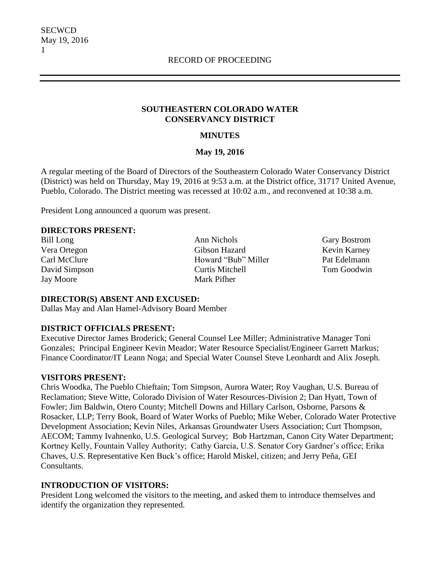#### **SOUTHEASTERN COLORADO WATER CONSERVANCY DISTRICT**

### **MINUTES**

#### **May 19, 2016**

A regular meeting of the Board of Directors of the Southeastern Colorado Water Conservancy District (District) was held on Thursday, May 19, 2016 at 9:53 a.m. at the District office, 31717 United Avenue, Pueblo, Colorado. The District meeting was recessed at 10:02 a.m., and reconvened at 10:38 a.m.

President Long announced a quorum was present.

#### **DIRECTORS PRESENT:**

Jay Moore Mark Pifher

Bill Long **Ann Nichols** Gary Bostrom Vera Ortegon Gibson Hazard Kevin Karney Carl McClure Howard "Bub" Miller Pat Edelmann David Simpson Curtis Mitchell Tom Goodwin

#### **DIRECTOR(S) ABSENT AND EXCUSED:**

Dallas May and Alan Hamel-Advisory Board Member

# **DISTRICT OFFICIALS PRESENT:**

Executive Director James Broderick; General Counsel Lee Miller; Administrative Manager Toni Gonzales; Principal Engineer Kevin Meador; Water Resource Specialist/Engineer Garrett Markus; Finance Coordinator/IT Leann Noga; and Special Water Counsel Steve Leonhardt and Alix Joseph.

#### **VISITORS PRESENT:**

Chris Woodka, The Pueblo Chieftain; Tom Simpson, Aurora Water; Roy Vaughan, U.S. Bureau of Reclamation; Steve Witte, Colorado Division of Water Resources-Division 2; Dan Hyatt, Town of Fowler; Jim Baldwin, Otero County; Mitchell Downs and Hillary Carlson, Osborne, Parsons & Rosacker, LLP; Terry Book, Board of Water Works of Pueblo; Mike Weber, Colorado Water Protective Development Association; Kevin Niles, Arkansas Groundwater Users Association; Curt Thompson, AECOM; Tammy Ivahnenko, U.S. Geological Survey; Bob Hartzman, Canon City Water Department; Kortney Kelly, Fountain Valley Authority; Cathy Garcia, U.S. Senator Cory Gardner's office; Erika Chaves, U.S. Representative Ken Buck's office; Harold Miskel, citizen; and Jerry Peña, GEI Consultants.

# **INTRODUCTION OF VISITORS:**

President Long welcomed the visitors to the meeting, and asked them to introduce themselves and identify the organization they represented.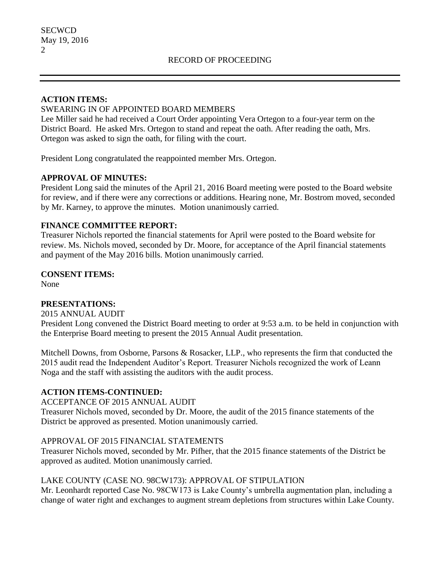#### **ACTION ITEMS:**

### SWEARING IN OF APPOINTED BOARD MEMBERS

Lee Miller said he had received a Court Order appointing Vera Ortegon to a four-year term on the District Board. He asked Mrs. Ortegon to stand and repeat the oath. After reading the oath, Mrs. Ortegon was asked to sign the oath, for filing with the court.

President Long congratulated the reappointed member Mrs. Ortegon.

#### **APPROVAL OF MINUTES:**

President Long said the minutes of the April 21, 2016 Board meeting were posted to the Board website for review, and if there were any corrections or additions. Hearing none, Mr. Bostrom moved, seconded by Mr. Karney, to approve the minutes. Motion unanimously carried.

### **FINANCE COMMITTEE REPORT:**

Treasurer Nichols reported the financial statements for April were posted to the Board website for review. Ms. Nichols moved, seconded by Dr. Moore, for acceptance of the April financial statements and payment of the May 2016 bills. Motion unanimously carried.

**CONSENT ITEMS:**

None

# **PRESENTATIONS:**

2015 ANNUAL AUDIT

President Long convened the District Board meeting to order at 9:53 a.m. to be held in conjunction with the Enterprise Board meeting to present the 2015 Annual Audit presentation.

Mitchell Downs, from Osborne, Parsons & Rosacker, LLP., who represents the firm that conducted the 2015 audit read the Independent Auditor's Report. Treasurer Nichols recognized the work of Leann Noga and the staff with assisting the auditors with the audit process.

#### **ACTION ITEMS-CONTINUED:**

ACCEPTANCE OF 2015 ANNUAL AUDIT

Treasurer Nichols moved, seconded by Dr. Moore, the audit of the 2015 finance statements of the District be approved as presented. Motion unanimously carried.

#### APPROVAL OF 2015 FINANCIAL STATEMENTS

Treasurer Nichols moved, seconded by Mr. Pifher, that the 2015 finance statements of the District be approved as audited. Motion unanimously carried.

# LAKE COUNTY (CASE NO. 98CW173): APPROVAL OF STIPULATION

Mr. Leonhardt reported Case No. 98CW173 is Lake County's umbrella augmentation plan, including a change of water right and exchanges to augment stream depletions from structures within Lake County.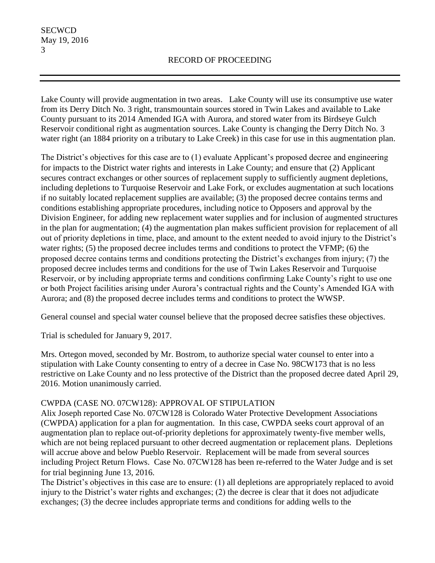Lake County will provide augmentation in two areas. Lake County will use its consumptive use water from its Derry Ditch No. 3 right, transmountain sources stored in Twin Lakes and available to Lake County pursuant to its 2014 Amended IGA with Aurora, and stored water from its Birdseye Gulch Reservoir conditional right as augmentation sources. Lake County is changing the Derry Ditch No. 3 water right (an 1884 priority on a tributary to Lake Creek) in this case for use in this augmentation plan.

The District's objectives for this case are to (1) evaluate Applicant's proposed decree and engineering for impacts to the District water rights and interests in Lake County; and ensure that (2) Applicant secures contract exchanges or other sources of replacement supply to sufficiently augment depletions, including depletions to Turquoise Reservoir and Lake Fork, or excludes augmentation at such locations if no suitably located replacement supplies are available; (3) the proposed decree contains terms and conditions establishing appropriate procedures, including notice to Opposers and approval by the Division Engineer, for adding new replacement water supplies and for inclusion of augmented structures in the plan for augmentation; (4) the augmentation plan makes sufficient provision for replacement of all out of priority depletions in time, place, and amount to the extent needed to avoid injury to the District's water rights; (5) the proposed decree includes terms and conditions to protect the VFMP; (6) the proposed decree contains terms and conditions protecting the District's exchanges from injury; (7) the proposed decree includes terms and conditions for the use of Twin Lakes Reservoir and Turquoise Reservoir, or by including appropriate terms and conditions confirming Lake County's right to use one or both Project facilities arising under Aurora's contractual rights and the County's Amended IGA with Aurora; and (8) the proposed decree includes terms and conditions to protect the WWSP.

General counsel and special water counsel believe that the proposed decree satisfies these objectives.

Trial is scheduled for January 9, 2017.

Mrs. Ortegon moved, seconded by Mr. Bostrom, to authorize special water counsel to enter into a stipulation with Lake County consenting to entry of a decree in Case No. 98CW173 that is no less restrictive on Lake County and no less protective of the District than the proposed decree dated April 29, 2016. Motion unanimously carried.

# CWPDA (CASE NO. 07CW128): APPROVAL OF STIPULATION

Alix Joseph reported Case No. 07CW128 is Colorado Water Protective Development Associations (CWPDA) application for a plan for augmentation. In this case, CWPDA seeks court approval of an augmentation plan to replace out-of-priority depletions for approximately twenty-five member wells, which are not being replaced pursuant to other decreed augmentation or replacement plans. Depletions will accrue above and below Pueblo Reservoir. Replacement will be made from several sources including Project Return Flows. Case No. 07CW128 has been re-referred to the Water Judge and is set for trial beginning June 13, 2016.

The District's objectives in this case are to ensure: (1) all depletions are appropriately replaced to avoid injury to the District's water rights and exchanges; (2) the decree is clear that it does not adjudicate exchanges; (3) the decree includes appropriate terms and conditions for adding wells to the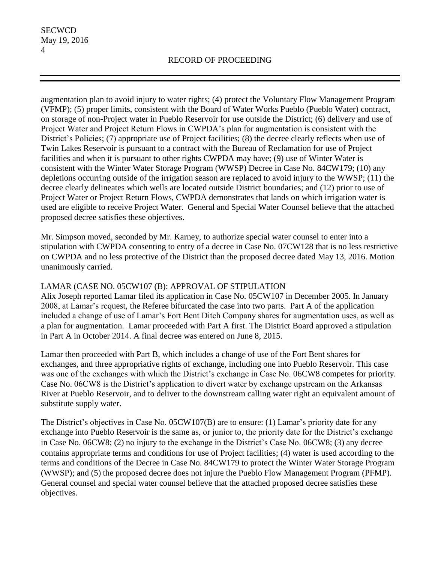augmentation plan to avoid injury to water rights; (4) protect the Voluntary Flow Management Program (VFMP); (5) proper limits, consistent with the Board of Water Works Pueblo (Pueblo Water) contract, on storage of non-Project water in Pueblo Reservoir for use outside the District; (6) delivery and use of Project Water and Project Return Flows in CWPDA's plan for augmentation is consistent with the District's Policies; (7) appropriate use of Project facilities; (8) the decree clearly reflects when use of Twin Lakes Reservoir is pursuant to a contract with the Bureau of Reclamation for use of Project facilities and when it is pursuant to other rights CWPDA may have; (9) use of Winter Water is consistent with the Winter Water Storage Program (WWSP) Decree in Case No. 84CW179; (10) any depletions occurring outside of the irrigation season are replaced to avoid injury to the WWSP; (11) the decree clearly delineates which wells are located outside District boundaries; and (12) prior to use of Project Water or Project Return Flows, CWPDA demonstrates that lands on which irrigation water is used are eligible to receive Project Water. General and Special Water Counsel believe that the attached proposed decree satisfies these objectives.

Mr. Simpson moved, seconded by Mr. Karney, to authorize special water counsel to enter into a stipulation with CWPDA consenting to entry of a decree in Case No. 07CW128 that is no less restrictive on CWPDA and no less protective of the District than the proposed decree dated May 13, 2016. Motion unanimously carried.

### LAMAR (CASE NO. 05CW107 (B): APPROVAL OF STIPULATION

Alix Joseph reported Lamar filed its application in Case No. 05CW107 in December 2005. In January 2008, at Lamar's request, the Referee bifurcated the case into two parts. Part A of the application included a change of use of Lamar's Fort Bent Ditch Company shares for augmentation uses, as well as a plan for augmentation. Lamar proceeded with Part A first. The District Board approved a stipulation in Part A in October 2014. A final decree was entered on June 8, 2015.

Lamar then proceeded with Part B, which includes a change of use of the Fort Bent shares for exchanges, and three appropriative rights of exchange, including one into Pueblo Reservoir. This case was one of the exchanges with which the District's exchange in Case No. 06CW8 competes for priority. Case No. 06CW8 is the District's application to divert water by exchange upstream on the Arkansas River at Pueblo Reservoir, and to deliver to the downstream calling water right an equivalent amount of substitute supply water.

The District's objectives in Case No. 05CW107(B) are to ensure: (1) Lamar's priority date for any exchange into Pueblo Reservoir is the same as, or junior to, the priority date for the District's exchange in Case No. 06CW8; (2) no injury to the exchange in the District's Case No. 06CW8; (3) any decree contains appropriate terms and conditions for use of Project facilities; (4) water is used according to the terms and conditions of the Decree in Case No. 84CW179 to protect the Winter Water Storage Program (WWSP); and (5) the proposed decree does not injure the Pueblo Flow Management Program (PFMP). General counsel and special water counsel believe that the attached proposed decree satisfies these objectives.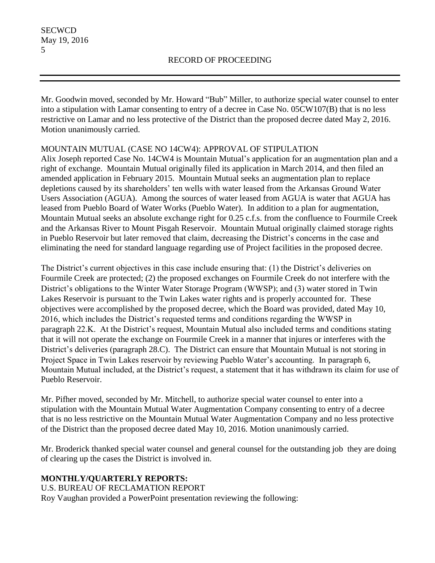Mr. Goodwin moved, seconded by Mr. Howard "Bub" Miller, to authorize special water counsel to enter into a stipulation with Lamar consenting to entry of a decree in Case No. 05CW107(B) that is no less restrictive on Lamar and no less protective of the District than the proposed decree dated May 2, 2016. Motion unanimously carried.

# MOUNTAIN MUTUAL (CASE NO 14CW4): APPROVAL OF STIPULATION

Alix Joseph reported Case No. 14CW4 is Mountain Mutual's application for an augmentation plan and a right of exchange. Mountain Mutual originally filed its application in March 2014, and then filed an amended application in February 2015. Mountain Mutual seeks an augmentation plan to replace depletions caused by its shareholders' ten wells with water leased from the Arkansas Ground Water Users Association (AGUA). Among the sources of water leased from AGUA is water that AGUA has leased from Pueblo Board of Water Works (Pueblo Water). In addition to a plan for augmentation, Mountain Mutual seeks an absolute exchange right for 0.25 c.f.s. from the confluence to Fourmile Creek and the Arkansas River to Mount Pisgah Reservoir. Mountain Mutual originally claimed storage rights in Pueblo Reservoir but later removed that claim, decreasing the District's concerns in the case and eliminating the need for standard language regarding use of Project facilities in the proposed decree.

The District's current objectives in this case include ensuring that: (1) the District's deliveries on Fourmile Creek are protected; (2) the proposed exchanges on Fourmile Creek do not interfere with the District's obligations to the Winter Water Storage Program (WWSP); and (3) water stored in Twin Lakes Reservoir is pursuant to the Twin Lakes water rights and is properly accounted for. These objectives were accomplished by the proposed decree, which the Board was provided, dated May 10, 2016, which includes the District's requested terms and conditions regarding the WWSP in paragraph 22.K. At the District's request, Mountain Mutual also included terms and conditions stating that it will not operate the exchange on Fourmile Creek in a manner that injures or interferes with the District's deliveries (paragraph 28.C). The District can ensure that Mountain Mutual is not storing in Project Space in Twin Lakes reservoir by reviewing Pueblo Water's accounting. In paragraph 6, Mountain Mutual included, at the District's request, a statement that it has withdrawn its claim for use of Pueblo Reservoir.

Mr. Pifher moved, seconded by Mr. Mitchell, to authorize special water counsel to enter into a stipulation with the Mountain Mutual Water Augmentation Company consenting to entry of a decree that is no less restrictive on the Mountain Mutual Water Augmentation Company and no less protective of the District than the proposed decree dated May 10, 2016. Motion unanimously carried.

Mr. Broderick thanked special water counsel and general counsel for the outstanding job they are doing of clearing up the cases the District is involved in.

# **MONTHLY/QUARTERLY REPORTS:**

U.S. BUREAU OF RECLAMATION REPORT Roy Vaughan provided a PowerPoint presentation reviewing the following: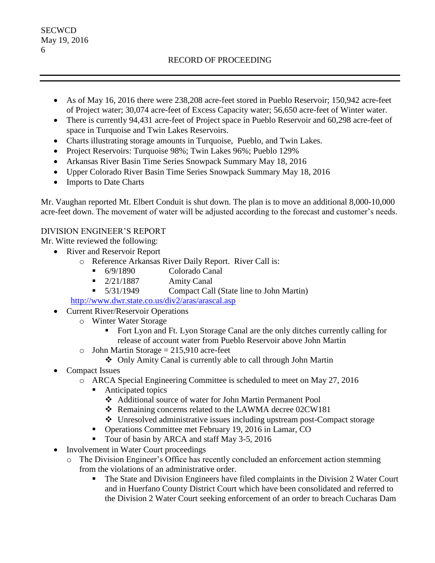# RECORD OF PROCEEDING

- As of May 16, 2016 there were 238,208 acre-feet stored in Pueblo Reservoir; 150,942 acre-feet of Project water; 30,074 acre-feet of Excess Capacity water; 56,650 acre-feet of Winter water.
- There is currently 94,431 acre-feet of Project space in Pueblo Reservoir and 60,298 acre-feet of space in Turquoise and Twin Lakes Reservoirs.
- Charts illustrating storage amounts in Turquoise, Pueblo, and Twin Lakes.
- Project Reservoirs: Turquoise 98%; Twin Lakes 96%; Pueblo 129%
- Arkansas River Basin Time Series Snowpack Summary May 18, 2016
- Upper Colorado River Basin Time Series Snowpack Summary May 18, 2016
- Imports to Date Charts

Mr. Vaughan reported Mt. Elbert Conduit is shut down. The plan is to move an additional 8,000-10,000 acre-feet down. The movement of water will be adjusted according to the forecast and customer's needs.

# DIVISION ENGINEER'S REPORT

Mr. Witte reviewed the following:

- River and Reservoir Report
	- o Reference Arkansas River Daily Report. River Call is:
		- 6/9/1890 Colorado Canal
		- $\blacksquare$  2/21/1887 Amity Canal
		- 5/31/1949 Compact Call (State line to John Martin)

<http://www.dwr.state.co.us/div2/aras/arascal.asp>

- Current River/Reservoir Operations
	- o Winter Water Storage
		- Fort Lyon and Ft. Lyon Storage Canal are the only ditches currently calling for release of account water from Pueblo Reservoir above John Martin
	- $\circ$  John Martin Storage = 215,910 acre-feet
		- Only Amity Canal is currently able to call through John Martin
- Compact Issues
	- o ARCA Special Engineering Committee is scheduled to meet on May 27, 2016
		- Anticipated topics
			- Additional source of water for John Martin Permanent Pool
			- ❖ Remaining concerns related to the LAWMA decree 02CW181
			- Unresolved administrative issues including upstream post-Compact storage
		- **•** Operations Committee met February 19, 2016 in Lamar, CO
		- Tour of basin by ARCA and staff May 3-5, 2016
- Involvement in Water Court proceedings
	- o The Division Engineer's Office has recently concluded an enforcement action stemming from the violations of an administrative order.
		- The State and Division Engineers have filed complaints in the Division 2 Water Court and in Huerfano County District Court which have been consolidated and referred to the Division 2 Water Court seeking enforcement of an order to breach Cucharas Dam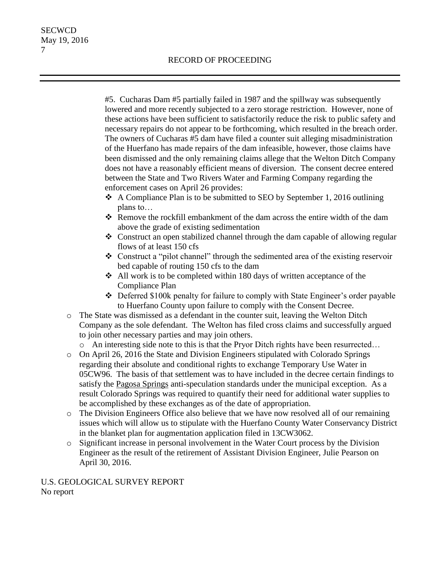#5. Cucharas Dam #5 partially failed in 1987 and the spillway was subsequently lowered and more recently subjected to a zero storage restriction. However, none of these actions have been sufficient to satisfactorily reduce the risk to public safety and necessary repairs do not appear to be forthcoming, which resulted in the breach order. The owners of Cucharas #5 dam have filed a counter suit alleging misadministration of the Huerfano has made repairs of the dam infeasible, however, those claims have been dismissed and the only remaining claims allege that the Welton Ditch Company does not have a reasonably efficient means of diversion. The consent decree entered between the State and Two Rivers Water and Farming Company regarding the enforcement cases on April 26 provides:

- $\triangleleft$  A Compliance Plan is to be submitted to SEO by September 1, 2016 outlining plans to…
- Remove the rockfill embankment of the dam across the entire width of the dam above the grade of existing sedimentation
- Construct an open stabilized channel through the dam capable of allowing regular flows of at least 150 cfs
- Construct a "pilot channel" through the sedimented area of the existing reservoir bed capable of routing 150 cfs to the dam
- $\triangleleft$  All work is to be completed within 180 days of written acceptance of the Compliance Plan
- Deferred \$100k penalty for failure to comply with State Engineer's order payable to Huerfano County upon failure to comply with the Consent Decree.
- o The State was dismissed as a defendant in the counter suit, leaving the Welton Ditch Company as the sole defendant. The Welton has filed cross claims and successfully argued to join other necessary parties and may join others.
	- o An interesting side note to this is that the Pryor Ditch rights have been resurrected…
- o On April 26, 2016 the State and Division Engineers stipulated with Colorado Springs regarding their absolute and conditional rights to exchange Temporary Use Water in 05CW96. The basis of that settlement was to have included in the decree certain findings to satisfy the Pagosa Springs anti-speculation standards under the municipal exception. As a result Colorado Springs was required to quantify their need for additional water supplies to be accomplished by these exchanges as of the date of appropriation.
- o The Division Engineers Office also believe that we have now resolved all of our remaining issues which will allow us to stipulate with the Huerfano County Water Conservancy District in the blanket plan for augmentation application filed in 13CW3062.
- o Significant increase in personal involvement in the Water Court process by the Division Engineer as the result of the retirement of Assistant Division Engineer, Julie Pearson on April 30, 2016.

U.S. GEOLOGICAL SURVEY REPORT No report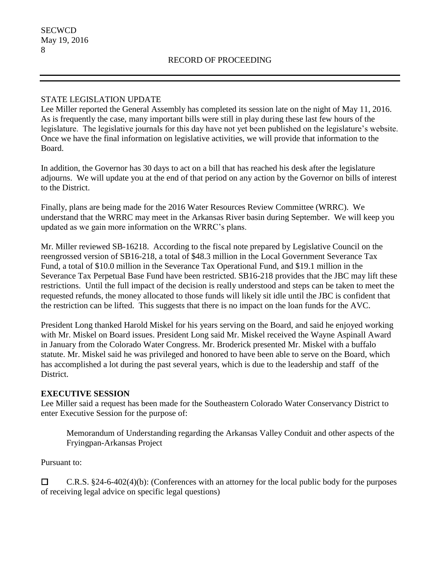### STATE LEGISLATION UPDATE

Lee Miller reported the General Assembly has completed its session late on the night of May 11, 2016. As is frequently the case, many important bills were still in play during these last few hours of the legislature. The legislative journals for this day have not yet been published on the legislature's website. Once we have the final information on legislative activities, we will provide that information to the Board.

In addition, the Governor has 30 days to act on a bill that has reached his desk after the legislature adjourns. We will update you at the end of that period on any action by the Governor on bills of interest to the District.

Finally, plans are being made for the 2016 Water Resources Review Committee (WRRC). We understand that the WRRC may meet in the Arkansas River basin during September. We will keep you updated as we gain more information on the WRRC's plans.

Mr. Miller reviewed SB-16218. According to the fiscal note prepared by Legislative Council on the reengrossed version of SB16-218, a total of \$48.3 million in the Local Government Severance Tax Fund, a total of \$10.0 million in the Severance Tax Operational Fund, and \$19.1 million in the Severance Tax Perpetual Base Fund have been restricted. SB16-218 provides that the JBC may lift these restrictions. Until the full impact of the decision is really understood and steps can be taken to meet the requested refunds, the money allocated to those funds will likely sit idle until the JBC is confident that the restriction can be lifted. This suggests that there is no impact on the loan funds for the AVC.

President Long thanked Harold Miskel for his years serving on the Board, and said he enjoyed working with Mr. Miskel on Board issues. President Long said Mr. Miskel received the Wayne Aspinall Award in January from the Colorado Water Congress. Mr. Broderick presented Mr. Miskel with a buffalo statute. Mr. Miskel said he was privileged and honored to have been able to serve on the Board, which has accomplished a lot during the past several years, which is due to the leadership and staff of the District.

#### **EXECUTIVE SESSION**

Lee Miller said a request has been made for the Southeastern Colorado Water Conservancy District to enter Executive Session for the purpose of:

Memorandum of Understanding regarding the Arkansas Valley Conduit and other aspects of the Fryingpan-Arkansas Project

Pursuant to:

 $\Box$  C.R.S. §24-6-402(4)(b): (Conferences with an attorney for the local public body for the purposes of receiving legal advice on specific legal questions)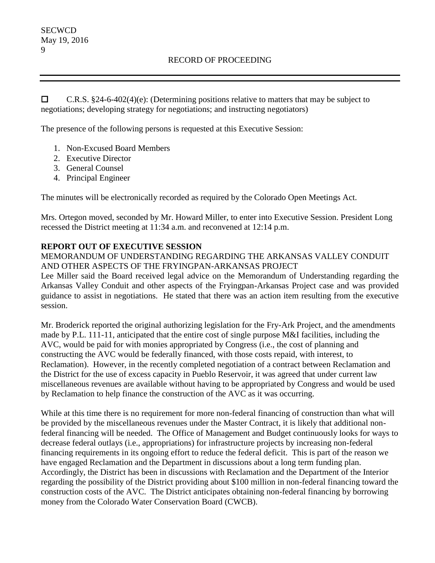$\Box$  C.R.S. §24-6-402(4)(e): (Determining positions relative to matters that may be subject to negotiations; developing strategy for negotiations; and instructing negotiators)

The presence of the following persons is requested at this Executive Session:

- 1. Non-Excused Board Members
- 2. Executive Director
- 3. General Counsel
- 4. Principal Engineer

The minutes will be electronically recorded as required by the Colorado Open Meetings Act.

Mrs. Ortegon moved, seconded by Mr. Howard Miller, to enter into Executive Session. President Long recessed the District meeting at 11:34 a.m. and reconvened at 12:14 p.m.

### **REPORT OUT OF EXECUTIVE SESSION**

MEMORANDUM OF UNDERSTANDING REGARDING THE ARKANSAS VALLEY CONDUIT AND OTHER ASPECTS OF THE FRYINGPAN-ARKANSAS PROJECT

Lee Miller said the Board received legal advice on the Memorandum of Understanding regarding the Arkansas Valley Conduit and other aspects of the Fryingpan-Arkansas Project case and was provided guidance to assist in negotiations. He stated that there was an action item resulting from the executive session.

Mr. Broderick reported the original authorizing legislation for the Fry-Ark Project, and the amendments made by P.L. 111-11, anticipated that the entire cost of single purpose M&I facilities, including the AVC, would be paid for with monies appropriated by Congress (i.e., the cost of planning and constructing the AVC would be federally financed, with those costs repaid, with interest, to Reclamation). However, in the recently completed negotiation of a contract between Reclamation and the District for the use of excess capacity in Pueblo Reservoir, it was agreed that under current law miscellaneous revenues are available without having to be appropriated by Congress and would be used by Reclamation to help finance the construction of the AVC as it was occurring.

While at this time there is no requirement for more non-federal financing of construction than what will be provided by the miscellaneous revenues under the Master Contract, it is likely that additional nonfederal financing will be needed. The Office of Management and Budget continuously looks for ways to decrease federal outlays (i.e., appropriations) for infrastructure projects by increasing non-federal financing requirements in its ongoing effort to reduce the federal deficit. This is part of the reason we have engaged Reclamation and the Department in discussions about a long term funding plan. Accordingly, the District has been in discussions with Reclamation and the Department of the Interior regarding the possibility of the District providing about \$100 million in non-federal financing toward the construction costs of the AVC. The District anticipates obtaining non-federal financing by borrowing money from the Colorado Water Conservation Board (CWCB).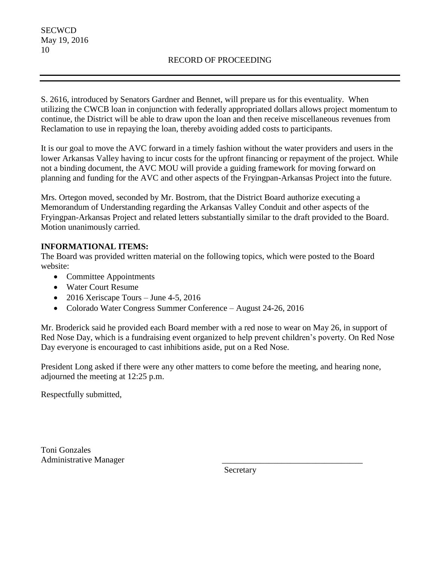S. 2616, introduced by Senators Gardner and Bennet, will prepare us for this eventuality. When utilizing the CWCB loan in conjunction with federally appropriated dollars allows project momentum to continue, the District will be able to draw upon the loan and then receive miscellaneous revenues from Reclamation to use in repaying the loan, thereby avoiding added costs to participants.

It is our goal to move the AVC forward in a timely fashion without the water providers and users in the lower Arkansas Valley having to incur costs for the upfront financing or repayment of the project. While not a binding document, the AVC MOU will provide a guiding framework for moving forward on planning and funding for the AVC and other aspects of the Fryingpan-Arkansas Project into the future.

Mrs. Ortegon moved, seconded by Mr. Bostrom, that the District Board authorize executing a Memorandum of Understanding regarding the Arkansas Valley Conduit and other aspects of the Fryingpan-Arkansas Project and related letters substantially similar to the draft provided to the Board. Motion unanimously carried.

# **INFORMATIONAL ITEMS:**

The Board was provided written material on the following topics, which were posted to the Board website:

- Committee Appointments
- Water Court Resume
- 2016 Xeriscape Tours June 4-5, 2016
- Colorado Water Congress Summer Conference August 24-26, 2016

Mr. Broderick said he provided each Board member with a red nose to wear on May 26, in support of Red Nose Day, which is a fundraising event organized to help prevent children's poverty. On Red Nose Day everyone is encouraged to cast inhibitions aside, put on a Red Nose.

President Long asked if there were any other matters to come before the meeting, and hearing none, adjourned the meeting at 12:25 p.m.

Respectfully submitted,

Toni Gonzales Administrative Manager \_\_\_\_\_\_\_\_\_\_\_\_\_\_\_\_\_\_\_\_\_\_\_\_\_\_\_\_\_\_\_\_\_

**Secretary**